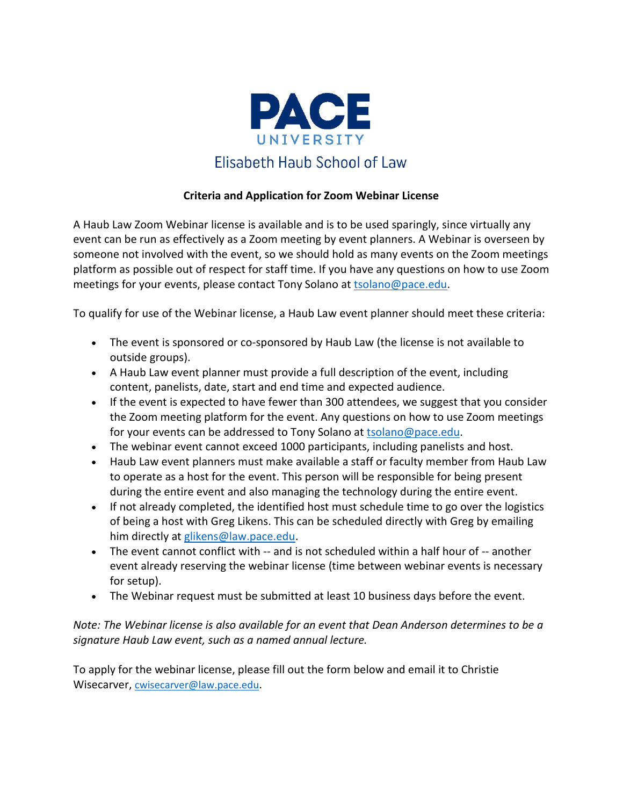

## **Criteria and Application for Zoom Webinar License**

A Haub Law Zoom Webinar license is available and is to be used sparingly, since virtually any event can be run as effectively as a Zoom meeting by event planners. A Webinar is overseen by someone not involved with the event, so we should hold as many events on the Zoom meetings platform as possible out of respect for staff time. If you have any questions on how to use Zoom meetings for your events, please contact Tony Solano at [tsolano@pace.edu.](mailto:tsolano@pace.edu)

To qualify for use of the Webinar license, a Haub Law event planner should meet these criteria:

- The event is sponsored or co-sponsored by Haub Law (the license is not available to outside groups).
- A Haub Law event planner must provide a full description of the event, including content, panelists, date, start and end time and expected audience.
- If the event is expected to have fewer than 300 attendees, we suggest that you consider the Zoom meeting platform for the event. Any questions on how to use Zoom meetings for your events can be addressed to Tony Solano at [tsolano@pace.edu.](mailto:tsolano@pace.edu)
- The webinar event cannot exceed 1000 participants, including panelists and host.
- Haub Law event planners must make available a staff or faculty member from Haub Law to operate as a host for the event. This person will be responsible for being present during the entire event and also managing the technology during the entire event.
- If not already completed, the identified host must schedule time to go over the logistics of being a host with Greg Likens. This can be scheduled directly with Greg by emailing him directly at [glikens@law.pace.edu.](mailto:glikens@law.pace.edu)
- The event cannot conflict with -- and is not scheduled within a half hour of -- another event already reserving the webinar license (time between webinar events is necessary for setup).
- The Webinar request must be submitted at least 10 business days before the event.

*Note: The Webinar license is also available for an event that Dean Anderson determines to be a signature Haub Law event, such as a named annual lecture.* 

To apply for the webinar license, please fill out the form below and email it to Christie Wisecarver, [cwisecarver@law.pace.edu.](mailto:cwisecarver@law.pace.edu)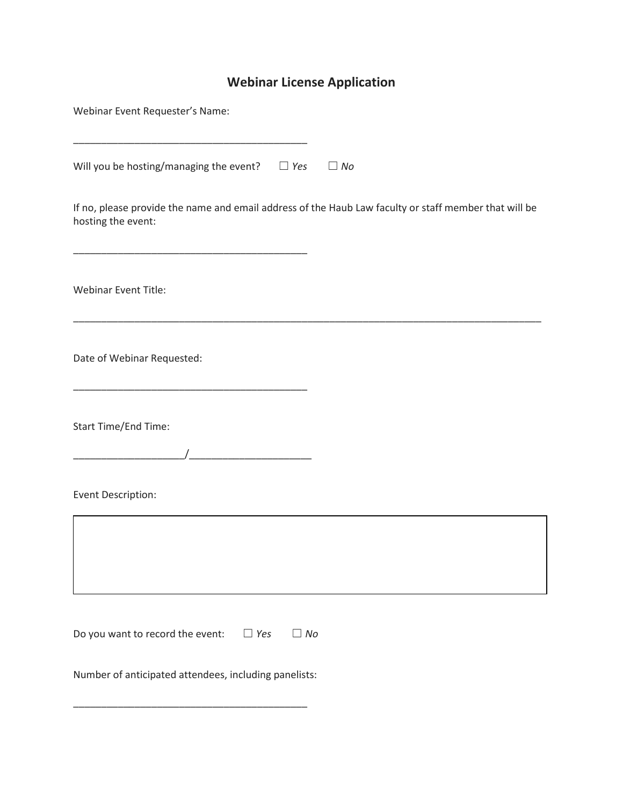## **Webinar License Application**

| Webinar Event Requester's Name:                                                                                             |
|-----------------------------------------------------------------------------------------------------------------------------|
| Will you be hosting/managing the event? $\square$ Yes<br>$\Box$ No                                                          |
| If no, please provide the name and email address of the Haub Law faculty or staff member that will be<br>hosting the event: |
| <b>Webinar Event Title:</b>                                                                                                 |
| Date of Webinar Requested:                                                                                                  |
| Start Time/End Time:<br><u> 1990 - Johann Barnett, fransk politik (</u>                                                     |
| Event Description:                                                                                                          |
|                                                                                                                             |
| Do you want to record the event: $\Box$ Yes<br>$\Box$ No                                                                    |
| Number of anticipated attendees, including panelists:                                                                       |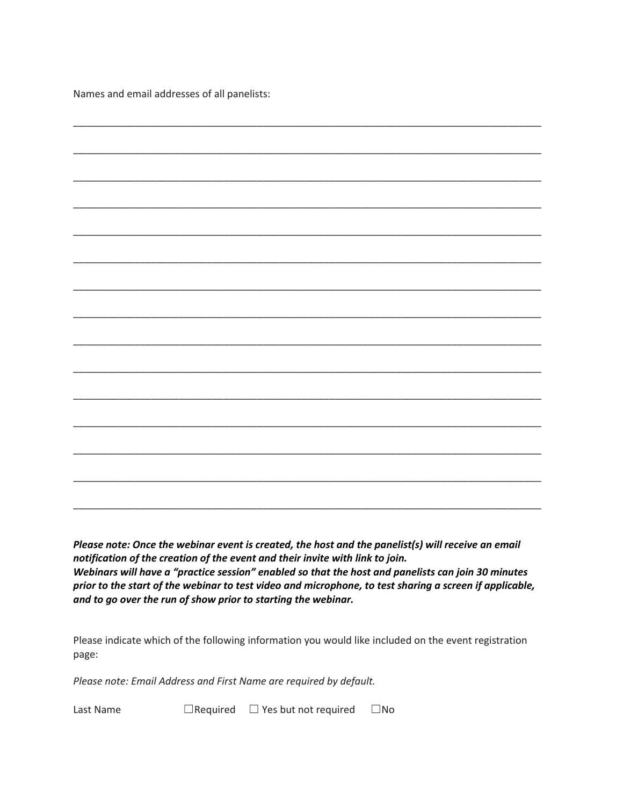Names and email addresses of all panelists:

*Please note: Once the webinar event is created, the host and the panelist(s) will receive an email notification of the creation of the event and their invite with link to join. Webinars will have a "practice session" enabled so that the host and panelists can join 30 minutes prior to the start of the webinar to test video and microphone, to test sharing a screen if applicable, and to go over the run of show prior to starting the webinar.*

Please indicate which of the following information you would like included on the event registration page:

*Please note: Email Address and First Name are required by default.*

Last Name ☐Required ☐ Yes but not required☐No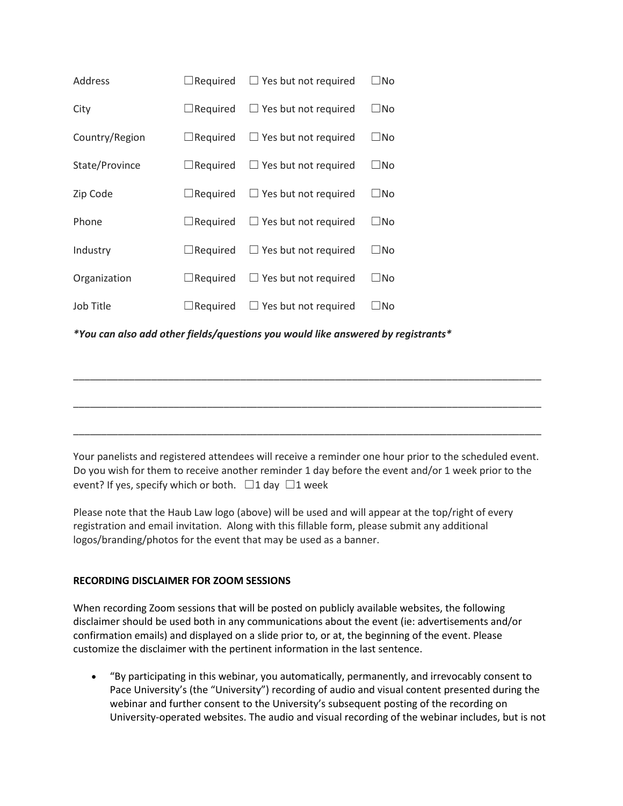| Address        | $\Box$ Required | $\Box$ Yes but not required | $\Box$ No |
|----------------|-----------------|-----------------------------|-----------|
| City           | $\Box$ Required | $\Box$ Yes but not required | $\Box$ No |
| Country/Region | $\Box$ Required | $\Box$ Yes but not required | ∃No       |
| State/Province | $\Box$ Required | $\Box$ Yes but not required | ⊿No       |
| Zip Code       | $\Box$ Required | $\Box$ Yes but not required | ⊿No       |
| Phone          | $\Box$ Required | $\Box$ Yes but not required | $\Box$ No |
| Industry       | $\Box$ Required | $\Box$ Yes but not required | $\Box$ No |
| Organization   | $\Box$ Required | $\Box$ Yes but not required | ∃No       |
| Job Title      | Required        | $\Box$ Yes but not required | ∃No       |

*\*You can also add other fields/questions you would like answered by registrants\**

\_\_\_\_\_\_\_\_\_\_\_\_\_\_\_\_\_\_\_\_\_\_\_\_\_\_\_\_\_\_\_\_\_\_\_\_\_\_\_\_\_\_\_\_\_\_\_\_\_\_\_\_\_\_\_\_\_\_\_\_\_\_\_\_\_\_\_\_\_\_\_\_\_\_\_\_\_\_\_\_\_\_\_\_ \_\_\_\_\_\_\_\_\_\_\_\_\_\_\_\_\_\_\_\_\_\_\_\_\_\_\_\_\_\_\_\_\_\_\_\_\_\_\_\_\_\_\_\_\_\_\_\_\_\_\_\_\_\_\_\_\_\_\_\_\_\_\_\_\_\_\_\_\_\_\_\_\_\_\_\_\_\_\_\_\_\_\_\_

\_\_\_\_\_\_\_\_\_\_\_\_\_\_\_\_\_\_\_\_\_\_\_\_\_\_\_\_\_\_\_\_\_\_\_\_\_\_\_\_\_\_\_\_\_\_\_\_\_\_\_\_\_\_\_\_\_\_\_\_\_\_\_\_\_\_\_\_\_\_\_\_\_\_\_\_\_\_\_\_\_\_\_\_

Your panelists and registered attendees will receive a reminder one hour prior to the scheduled event. Do you wish for them to receive another reminder 1 day before the event and/or 1 week prior to the event? If yes, specify which or both.  $\Box$ 1 day  $\Box$ 1 week

Please note that the Haub Law logo (above) will be used and will appear at the top/right of every registration and email invitation. Along with this fillable form, please submit any additional logos/branding/photos for the event that may be used as a banner.

## **RECORDING DISCLAIMER FOR ZOOM SESSIONS**

When recording Zoom sessions that will be posted on publicly available websites, the following disclaimer should be used both in any communications about the event (ie: advertisements and/or confirmation emails) and displayed on a slide prior to, or at, the beginning of the event. Please customize the disclaimer with the pertinent information in the last sentence.

• "By participating in this webinar, you automatically, permanently, and irrevocably consent to Pace University's (the "University") recording of audio and visual content presented during the webinar and further consent to the University's subsequent posting of the recording on University-operated websites. The audio and visual recording of the webinar includes, but is not